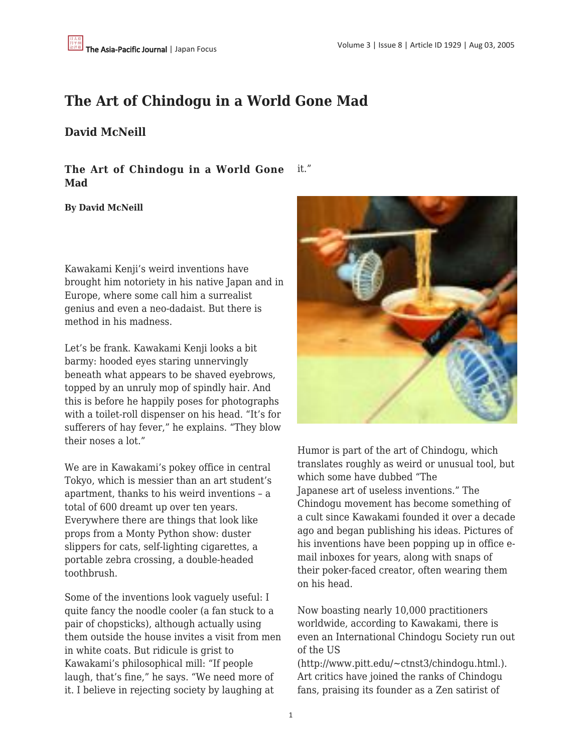## **The Art of Chindogu in a World Gone Mad**

## **David McNeill**

**The Art of Chindogu in a World Gone Mad** it."

**By David McNeill**

Kawakami Kenji's weird inventions have brought him notoriety in his native Japan and in Europe, where some call him a surrealist genius and even a neo-dadaist. But there is method in his madness.

Let's be frank. Kawakami Kenji looks a bit barmy: hooded eyes staring unnervingly beneath what appears to be shaved eyebrows, topped by an unruly mop of spindly hair. And this is before he happily poses for photographs with a toilet-roll dispenser on his head. "It's for sufferers of hay fever," he explains. "They blow their noses a lot."

We are in Kawakami's pokey office in central Tokyo, which is messier than an art student's apartment, thanks to his weird inventions – a total of 600 dreamt up over ten years. Everywhere there are things that look like props from a Monty Python show: duster slippers for cats, self-lighting cigarettes, a portable zebra crossing, a double-headed toothbrush.

Some of the inventions look vaguely useful: I quite fancy the noodle cooler (a fan stuck to a pair of chopsticks), although actually using them outside the house invites a visit from men in white coats. But ridicule is grist to Kawakami's philosophical mill: "If people laugh, that's fine," he says. "We need more of it. I believe in rejecting society by laughing at



Humor is part of the art of Chindogu, which translates roughly as weird or unusual tool, but which some have dubbed "The Japanese art of useless inventions." The Chindogu movement has become something of a cult since Kawakami founded it over a decade ago and began publishing his ideas. Pictures of his inventions have been popping up in office email inboxes for years, along with snaps of their poker-faced creator, often wearing them on his head.

Now boasting nearly 10,000 practitioners worldwide, according to Kawakami, there is even an International Chindogu Society run out of the US

(http://www.pitt.edu/~ctnst3/chindogu.html.). Art critics have joined the ranks of Chindogu fans, praising its founder as a Zen satirist of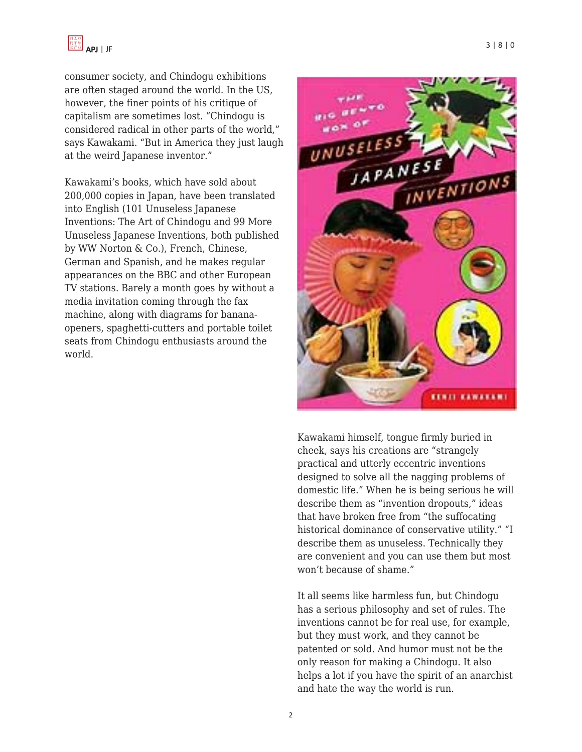consumer society, and Chindogu exhibitions are often staged around the world. In the US, however, the finer points of his critique of capitalism are sometimes lost. "Chindogu is considered radical in other parts of the world," says Kawakami. "But in America they just laugh at the weird Japanese inventor."

Kawakami's books, which have sold about 200,000 copies in Japan, have been translated into English (101 Unuseless Japanese Inventions: The Art of Chindogu and 99 More Unuseless Japanese Inventions, both published by WW Norton & Co.), French, Chinese, German and Spanish, and he makes regular appearances on the BBC and other European TV stations. Barely a month goes by without a media invitation coming through the fax machine, along with diagrams for bananaopeners, spaghetti-cutters and portable toilet seats from Chindogu enthusiasts around the world.



Kawakami himself, tongue firmly buried in cheek, says his creations are "strangely practical and utterly eccentric inventions designed to solve all the nagging problems of domestic life." When he is being serious he will describe them as "invention dropouts," ideas that have broken free from "the suffocating historical dominance of conservative utility." "I describe them as unuseless. Technically they are convenient and you can use them but most won't because of shame."

It all seems like harmless fun, but Chindogu has a serious philosophy and set of rules. The inventions cannot be for real use, for example, but they must work, and they cannot be patented or sold. And humor must not be the only reason for making a Chindogu. It also helps a lot if you have the spirit of an anarchist and hate the way the world is run.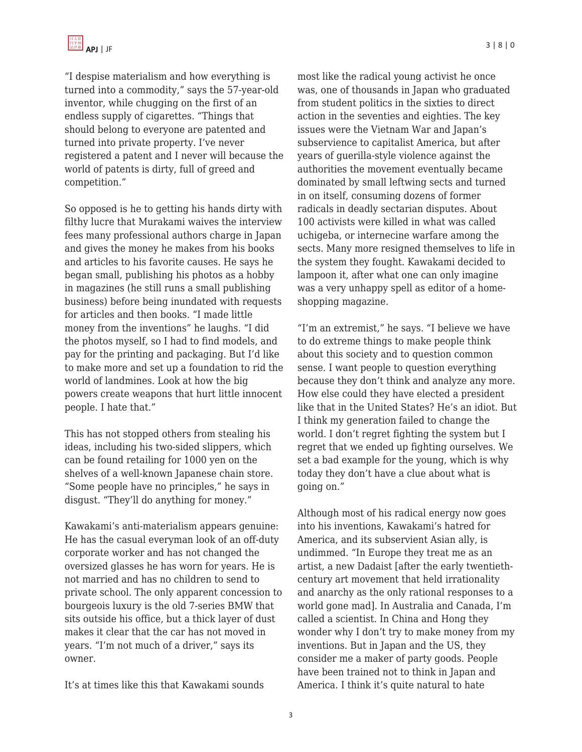"I despise materialism and how everything is turned into a commodity," says the 57-year-old inventor, while chugging on the first of an endless supply of cigarettes. "Things that should belong to everyone are patented and turned into private property. I've never registered a patent and I never will because the world of patents is dirty, full of greed and competition."

So opposed is he to getting his hands dirty with filthy lucre that Murakami waives the interview fees many professional authors charge in Japan and gives the money he makes from his books and articles to his favorite causes. He says he began small, publishing his photos as a hobby in magazines (he still runs a small publishing business) before being inundated with requests for articles and then books. "I made little money from the inventions" he laughs. "I did the photos myself, so I had to find models, and pay for the printing and packaging. But I'd like to make more and set up a foundation to rid the world of landmines. Look at how the big powers create weapons that hurt little innocent people. I hate that."

This has not stopped others from stealing his ideas, including his two-sided slippers, which can be found retailing for 1000 yen on the shelves of a well-known Japanese chain store. "Some people have no principles," he says in disgust. "They'll do anything for money."

Kawakami's anti-materialism appears genuine: He has the casual everyman look of an off-duty corporate worker and has not changed the oversized glasses he has worn for years. He is not married and has no children to send to private school. The only apparent concession to bourgeois luxury is the old 7-series BMW that sits outside his office, but a thick layer of dust makes it clear that the car has not moved in years. "I'm not much of a driver," says its owner.

It's at times like this that Kawakami sounds

most like the radical young activist he once was, one of thousands in Japan who graduated from student politics in the sixties to direct action in the seventies and eighties. The key issues were the Vietnam War and Japan's subservience to capitalist America, but after years of guerilla-style violence against the authorities the movement eventually became dominated by small leftwing sects and turned in on itself, consuming dozens of former radicals in deadly sectarian disputes. About 100 activists were killed in what was called uchigeba, or internecine warfare among the sects. Many more resigned themselves to life in the system they fought. Kawakami decided to lampoon it, after what one can only imagine was a very unhappy spell as editor of a homeshopping magazine.

"I'm an extremist," he says. "I believe we have to do extreme things to make people think about this society and to question common sense. I want people to question everything because they don't think and analyze any more. How else could they have elected a president like that in the United States? He's an idiot. But I think my generation failed to change the world. I don't regret fighting the system but I regret that we ended up fighting ourselves. We set a bad example for the young, which is why today they don't have a clue about what is going on."

Although most of his radical energy now goes into his inventions, Kawakami's hatred for America, and its subservient Asian ally, is undimmed. "In Europe they treat me as an artist, a new Dadaist [after the early twentiethcentury art movement that held irrationality and anarchy as the only rational responses to a world gone mad]. In Australia and Canada, I'm called a scientist. In China and Hong they wonder why I don't try to make money from my inventions. But in Japan and the US, they consider me a maker of party goods. People have been trained not to think in Japan and America. I think it's quite natural to hate